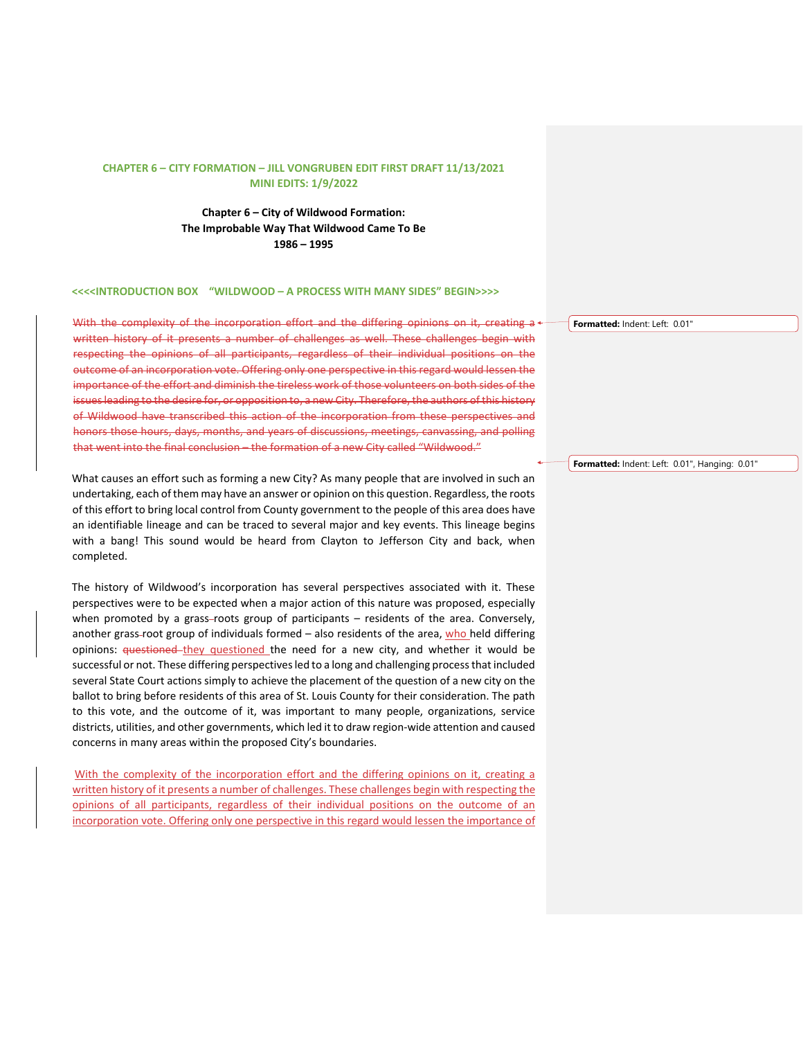**Chapter 6 – City of Wildwood Formation: The Improbable Way That Wildwood Came To Be 1986 – 1995** 

#### **<<<<INTRODUCTION BOX "WILDWOOD – A PROCESS WITH MANY SIDES" BEGIN>>>>**

With the complexity of the incorporation effort and the differing opinions on it, creating  $a \cdot$ written history of it presents a number of challenges as well. These challenges begin with respecting the opinions of all participants, regardless of their individual positions on the outcome of an incorporation vote. Offering only one perspective in this regard would lessen the importance of the effort and diminish the tireless work of those volunteers on both sides of the issues leading to the desire for, or opposition to, a new City. Therefore, the authors of this history of Wildwood have transcribed this action of the incorporation from these perspectives and honors those hours, days, months, and years of discussions, meetings, canvassing, and polling that went into the final conclusion – the formation of a new City called "Wildwood."

What causes an effort such as forming a new City? As many people that are involved in such an undertaking, each of them may have an answer or opinion on this question. Regardless, the roots of this effort to bring local control from County government to the people of this area does have an identifiable lineage and can be traced to several major and key events. This lineage begins with a bang! This sound would be heard from Clayton to Jefferson City and back, when completed.

The history of Wildwood's incorporation has several perspectives associated with it. These perspectives were to be expected when a major action of this nature was proposed, especially when promoted by a grass-roots group of participants  $-$  residents of the area. Conversely, another grass-root group of individuals formed  $-$  also residents of the area, who held differing opinions: questioned-they questioned the need for a new city, and whether it would be successful or not. These differing perspectives led to a long and challenging process that included several State Court actions simply to achieve the placement of the question of a new city on the ballot to bring before residents of this area of St. Louis County for their consideration. The path to this vote, and the outcome of it, was important to many people, organizations, service districts, utilities, and other governments, which led it to draw region-wide attention and caused concerns in many areas within the proposed City's boundaries.

With the complexity of the incorporation effort and the differing opinions on it, creating a written history of it presents a number of challenges. These challenges begin with respecting the opinions of all participants, regardless of their individual positions on the outcome of an incorporation vote. Offering only one perspective in this regard would lessen the importance of

**Formatted:** Indent: Left: 0.01"

**Formatted:** Indent: Left: 0.01", Hanging: 0.01"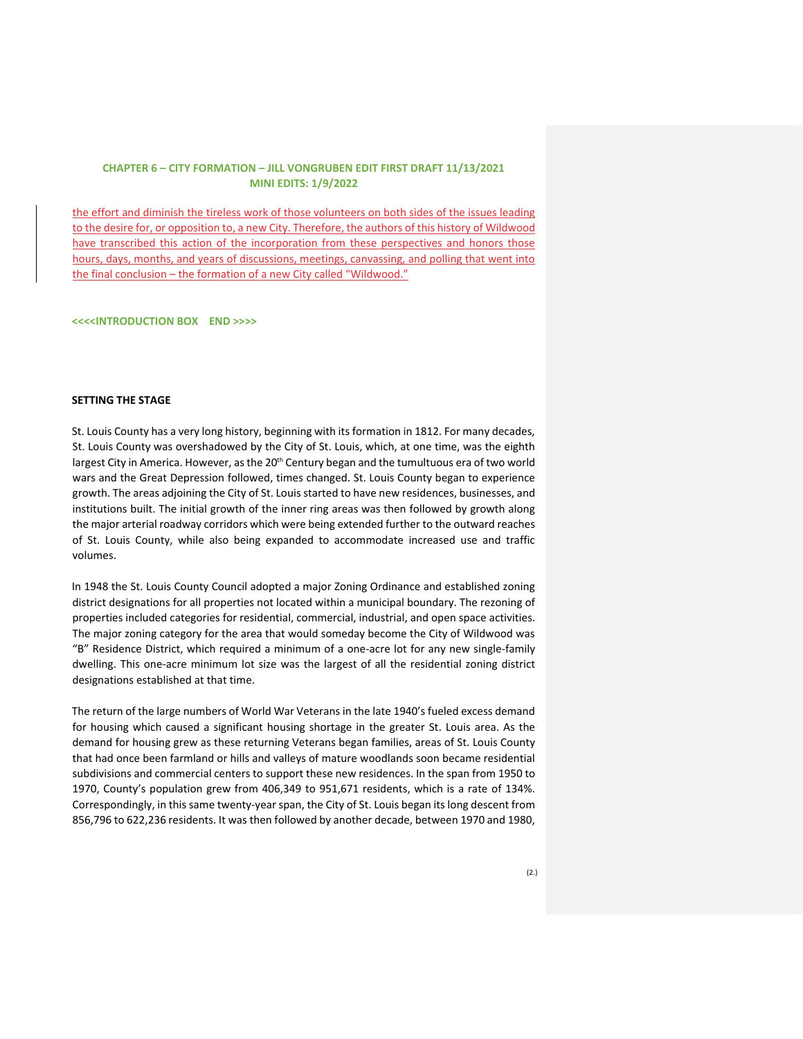the effort and diminish the tireless work of those volunteers on both sides of the issues leading to the desire for, or opposition to, a new City. Therefore, the authors of this history of Wildwood have transcribed this action of the incorporation from these perspectives and honors those hours, days, months, and years of discussions, meetings, canvassing, and polling that went into the final conclusion - the formation of a new City called "Wildwood."

**<<<<INTRODUCTION BOX END >>>>**

### **SETTING THE STAGE**

St. Louis County has a very long history, beginning with its formation in 1812. For many decades, St. Louis County was overshadowed by the City of St. Louis, which, at one time, was the eighth largest City in America. However, as the 20<sup>th</sup> Century began and the tumultuous era of two world wars and the Great Depression followed, times changed. St. Louis County began to experience growth. The areas adjoining the City of St. Louis started to have new residences, businesses, and institutions built. The initial growth of the inner ring areas was then followed by growth along the major arterial roadway corridors which were being extended further to the outward reaches of St. Louis County, while also being expanded to accommodate increased use and traffic volumes.

In 1948 the St. Louis County Council adopted a major Zoning Ordinance and established zoning district designations for all properties not located within a municipal boundary. The rezoning of properties included categories for residential, commercial, industrial, and open space activities. The major zoning category for the area that would someday become the City of Wildwood was "B" Residence District, which required a minimum of a one-acre lot for any new single-family dwelling. This one-acre minimum lot size was the largest of all the residential zoning district designations established at that time.

The return of the large numbers of World War Veterans in the late 1940's fueled excess demand for housing which caused a significant housing shortage in the greater St. Louis area. As the demand for housing grew as these returning Veterans began families, areas of St. Louis County that had once been farmland or hills and valleys of mature woodlands soon became residential subdivisions and commercial centers to support these new residences. In the span from 1950 to 1970, County's population grew from 406,349 to 951,671 residents, which is a rate of 134%. Correspondingly, in this same twenty-year span, the City of St. Louis began its long descent from 856,796 to 622,236 residents. It was then followed by another decade, between 1970 and 1980,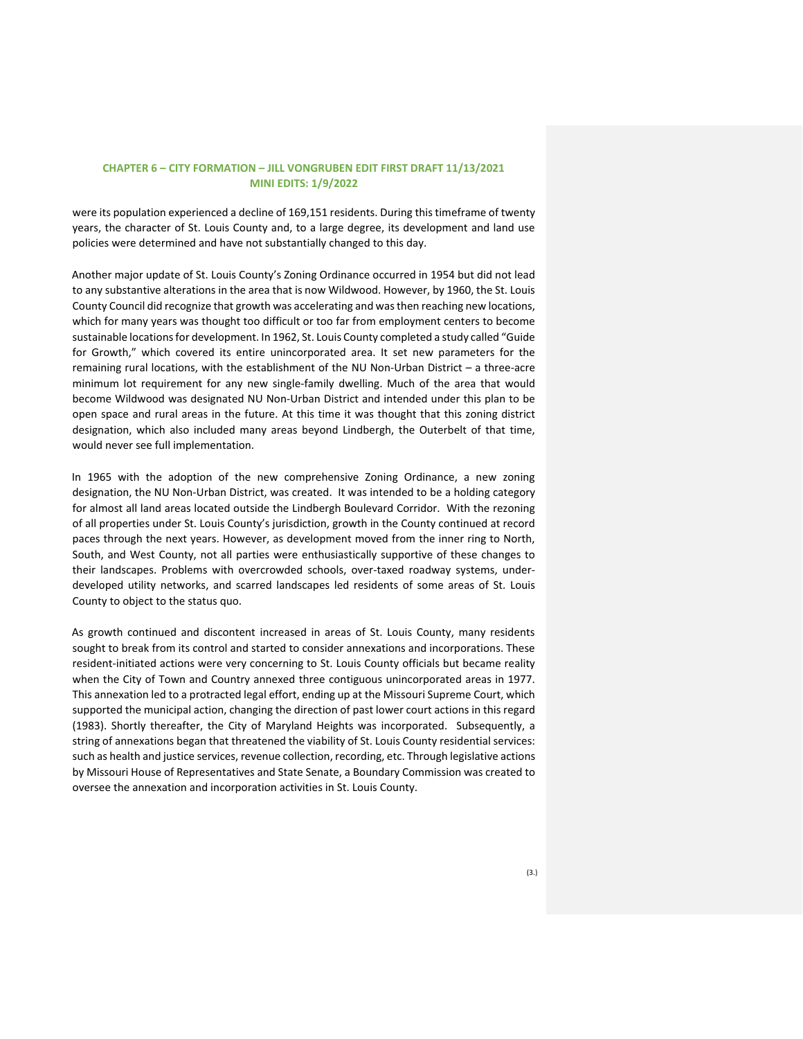were its population experienced a decline of 169,151 residents. During this timeframe of twenty years, the character of St. Louis County and, to a large degree, its development and land use policies were determined and have not substantially changed to this day.

Another major update of St. Louis County's Zoning Ordinance occurred in 1954 but did not lead to any substantive alterations in the area that is now Wildwood. However, by 1960, the St. Louis County Council did recognize that growth was accelerating and was then reaching new locations, which for many years was thought too difficult or too far from employment centers to become sustainable locations for development. In 1962, St. Louis County completed a study called "Guide for Growth," which covered its entire unincorporated area. It set new parameters for the remaining rural locations, with the establishment of the NU Non-Urban District – a three-acre minimum lot requirement for any new single-family dwelling. Much of the area that would become Wildwood was designated NU Non-Urban District and intended under this plan to be open space and rural areas in the future. At this time it was thought that this zoning district designation, which also included many areas beyond Lindbergh, the Outerbelt of that time, would never see full implementation.

In 1965 with the adoption of the new comprehensive Zoning Ordinance, a new zoning designation, the NU Non-Urban District, was created. It was intended to be a holding category for almost all land areas located outside the Lindbergh Boulevard Corridor. With the rezoning of all properties under St. Louis County's jurisdiction, growth in the County continued at record paces through the next years. However, as development moved from the inner ring to North, South, and West County, not all parties were enthusiastically supportive of these changes to their landscapes. Problems with overcrowded schools, over-taxed roadway systems, underdeveloped utility networks, and scarred landscapes led residents of some areas of St. Louis County to object to the status quo.

As growth continued and discontent increased in areas of St. Louis County, many residents sought to break from its control and started to consider annexations and incorporations. These resident-initiated actions were very concerning to St. Louis County officials but became reality when the City of Town and Country annexed three contiguous unincorporated areas in 1977. This annexation led to a protracted legal effort, ending up at the Missouri Supreme Court, which supported the municipal action, changing the direction of past lower court actions in this regard (1983). Shortly thereafter, the City of Maryland Heights was incorporated. Subsequently, a string of annexations began that threatened the viability of St. Louis County residential services: such as health and justice services, revenue collection, recording, etc. Through legislative actions by Missouri House of Representatives and State Senate, a Boundary Commission was created to oversee the annexation and incorporation activities in St. Louis County.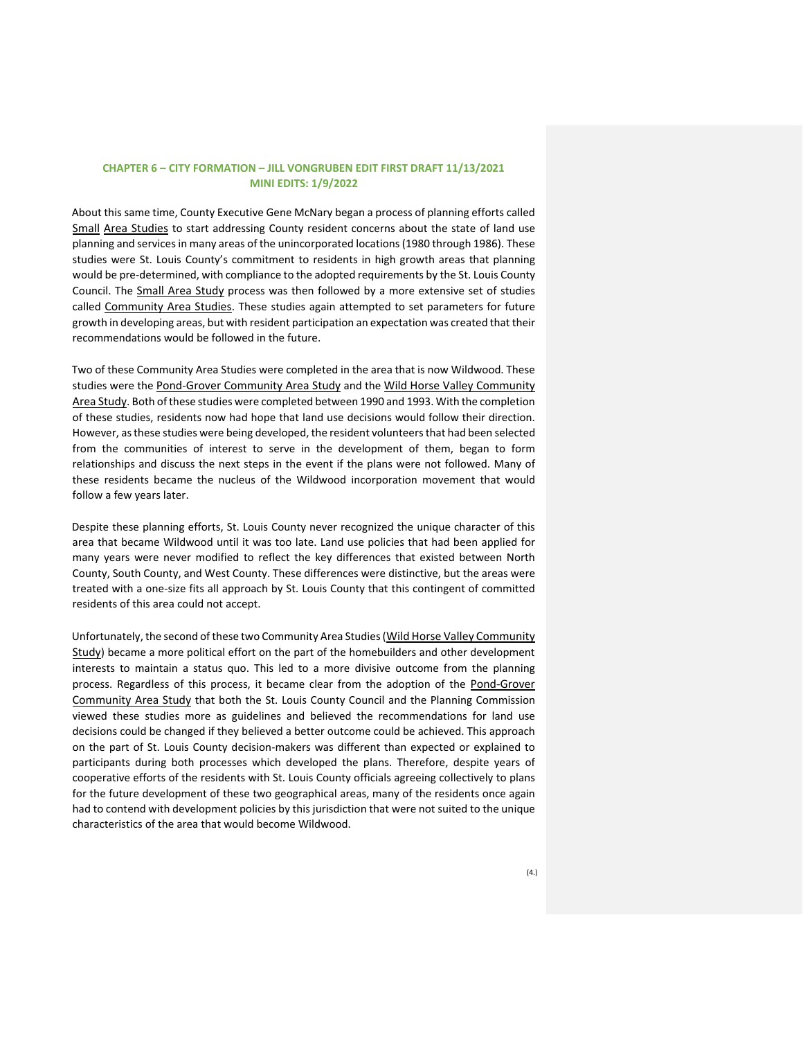About this same time, County Executive Gene McNary began a process of planning efforts called Small Area Studies to start addressing County resident concerns about the state of land use planning and services in many areas of the unincorporated locations (1980 through 1986). These studies were St. Louis County's commitment to residents in high growth areas that planning would be pre-determined, with compliance to the adopted requirements by the St. Louis County Council. The Small Area Study process was then followed by a more extensive set of studies called Community Area Studies. These studies again attempted to set parameters for future growth in developing areas, but with resident participation an expectation was created that their recommendations would be followed in the future.

Two of these Community Area Studies were completed in the area that is now Wildwood. These studies were the Pond-Grover Community Area Study and the Wild Horse Valley Community Area Study. Both of these studies were completed between 1990 and 1993. With the completion of these studies, residents now had hope that land use decisions would follow their direction. However, as these studies were being developed, the resident volunteers that had been selected from the communities of interest to serve in the development of them, began to form relationships and discuss the next steps in the event if the plans were not followed. Many of these residents became the nucleus of the Wildwood incorporation movement that would follow a few years later.

Despite these planning efforts, St. Louis County never recognized the unique character of this area that became Wildwood until it was too late. Land use policies that had been applied for many years were never modified to reflect the key differences that existed between North County, South County, and West County. These differences were distinctive, but the areas were treated with a one-size fits all approach by St. Louis County that this contingent of committed residents of this area could not accept.

Unfortunately, the second of these two Community Area Studies (Wild Horse Valley Community Study) became a more political effort on the part of the homebuilders and other development interests to maintain a status quo. This led to a more divisive outcome from the planning process. Regardless of this process, it became clear from the adoption of the Pond-Grover Community Area Study that both the St. Louis County Council and the Planning Commission viewed these studies more as guidelines and believed the recommendations for land use decisions could be changed if they believed a better outcome could be achieved. This approach on the part of St. Louis County decision-makers was different than expected or explained to participants during both processes which developed the plans. Therefore, despite years of cooperative efforts of the residents with St. Louis County officials agreeing collectively to plans for the future development of these two geographical areas, many of the residents once again had to contend with development policies by this jurisdiction that were not suited to the unique characteristics of the area that would become Wildwood.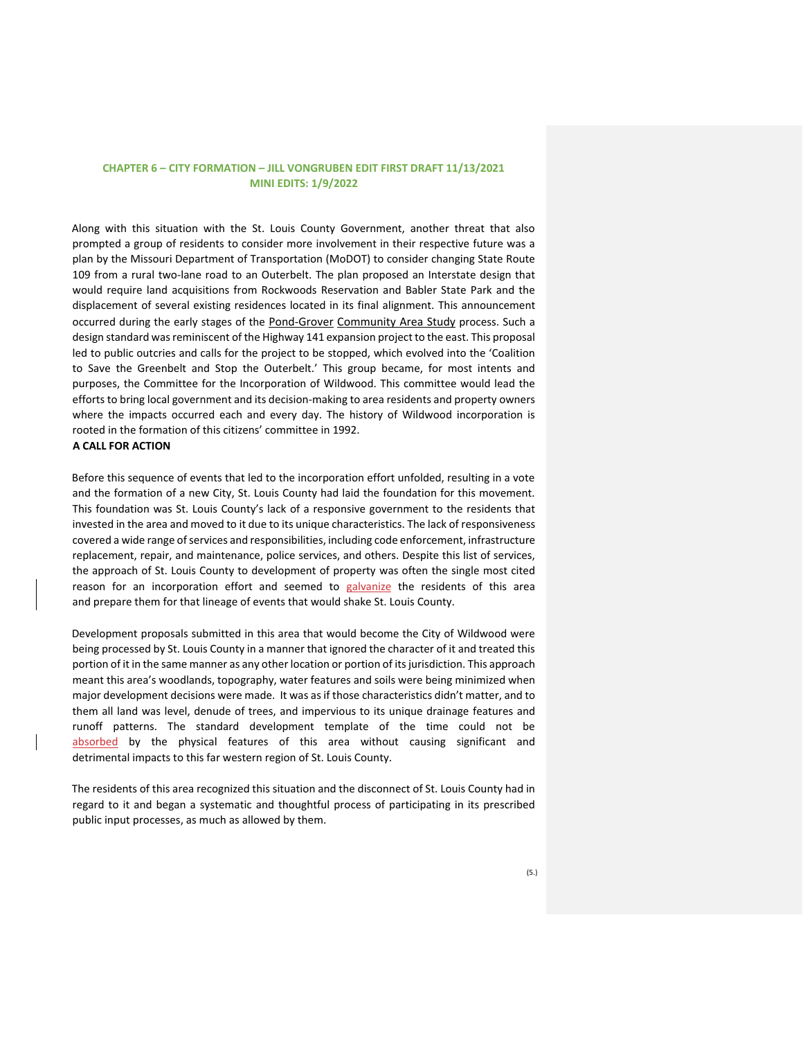Along with this situation with the St. Louis County Government, another threat that also prompted a group of residents to consider more involvement in their respective future was a plan by the Missouri Department of Transportation (MoDOT) to consider changing State Route 109 from a rural two-lane road to an Outerbelt. The plan proposed an Interstate design that would require land acquisitions from Rockwoods Reservation and Babler State Park and the displacement of several existing residences located in its final alignment. This announcement occurred during the early stages of the Pond-Grover Community Area Study process. Such a design standard was reminiscent of the Highway 141 expansion project to the east. This proposal led to public outcries and calls for the project to be stopped, which evolved into the 'Coalition to Save the Greenbelt and Stop the Outerbelt.' This group became, for most intents and purposes, the Committee for the Incorporation of Wildwood. This committee would lead the efforts to bring local government and its decision-making to area residents and property owners where the impacts occurred each and every day. The history of Wildwood incorporation is rooted in the formation of this citizens' committee in 1992.

### **A CALL FOR ACTION**

Before this sequence of events that led to the incorporation effort unfolded, resulting in a vote and the formation of a new City, St. Louis County had laid the foundation for this movement. This foundation was St. Louis County's lack of a responsive government to the residents that invested in the area and moved to it due to its unique characteristics. The lack of responsiveness covered a wide range of services and responsibilities, including code enforcement, infrastructure replacement, repair, and maintenance, police services, and others. Despite this list of services, the approach of St. Louis County to development of property was often the single most cited reason for an incorporation effort and seemed to galvanize the residents of this area and prepare them for that lineage of events that would shake St. Louis County.

Development proposals submitted in this area that would become the City of Wildwood were being processed by St. Louis County in a manner that ignored the character of it and treated this portion of it in the same manner as any other location or portion of its jurisdiction. This approach meant this area's woodlands, topography, water features and soils were being minimized when major development decisions were made. It was as if those characteristics didn't matter, and to them all land was level, denude of trees, and impervious to its unique drainage features and runoff patterns. The standard development template of the time could not be absorbed by the physical features of this area without causing significant and detrimental impacts to this far western region of St. Louis County.

The residents of this area recognized this situation and the disconnect of St. Louis County had in regard to it and began a systematic and thoughtful process of participating in its prescribed public input processes, as much as allowed by them.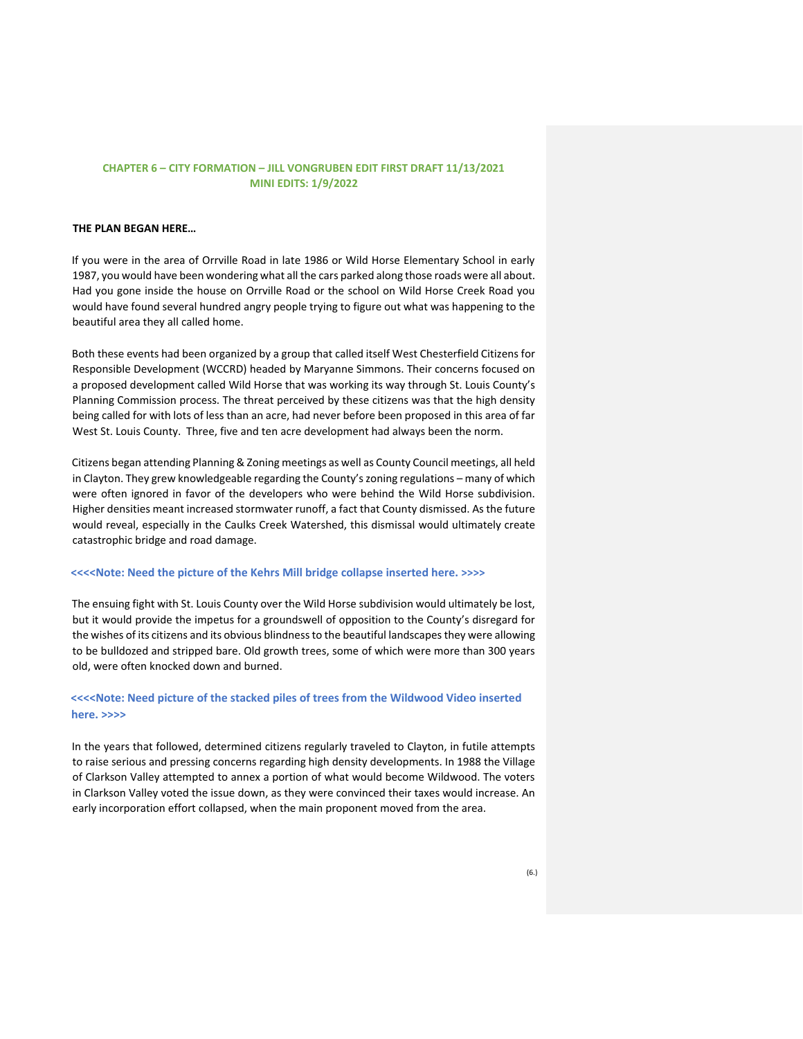### **THE PLAN BEGAN HERE…**

If you were in the area of Orrville Road in late 1986 or Wild Horse Elementary School in early 1987, you would have been wondering what all the cars parked along those roads were all about. Had you gone inside the house on Orrville Road or the school on Wild Horse Creek Road you would have found several hundred angry people trying to figure out what was happening to the beautiful area they all called home.

Both these events had been organized by a group that called itself West Chesterfield Citizens for Responsible Development (WCCRD) headed by Maryanne Simmons. Their concerns focused on a proposed development called Wild Horse that was working its way through St. Louis County's Planning Commission process. The threat perceived by these citizens was that the high density being called for with lots of less than an acre, had never before been proposed in this area of far West St. Louis County. Three, five and ten acre development had always been the norm.

Citizens began attending Planning & Zoning meetings as well as County Council meetings, all held in Clayton. They grew knowledgeable regarding the County's zoning regulations – many of which were often ignored in favor of the developers who were behind the Wild Horse subdivision. Higher densities meant increased stormwater runoff, a fact that County dismissed. As the future would reveal, especially in the Caulks Creek Watershed, this dismissal would ultimately create catastrophic bridge and road damage.

### **<<<<Note: Need the picture of the Kehrs Mill bridge collapse inserted here. >>>>**

The ensuing fight with St. Louis County over the Wild Horse subdivision would ultimately be lost, but it would provide the impetus for a groundswell of opposition to the County's disregard for the wishes of its citizens and its obvious blindness to the beautiful landscapes they were allowing to be bulldozed and stripped bare. Old growth trees, some of which were more than 300 years old, were often knocked down and burned.

# <<<<Note: Need picture of the stacked piles of trees from the Wildwood Video inserted **here. >>>>**

In the years that followed, determined citizens regularly traveled to Clayton, in futile attempts to raise serious and pressing concerns regarding high density developments. In 1988 the Village of Clarkson Valley attempted to annex a portion of what would become Wildwood. The voters in Clarkson Valley voted the issue down, as they were convinced their taxes would increase. An early incorporation effort collapsed, when the main proponent moved from the area.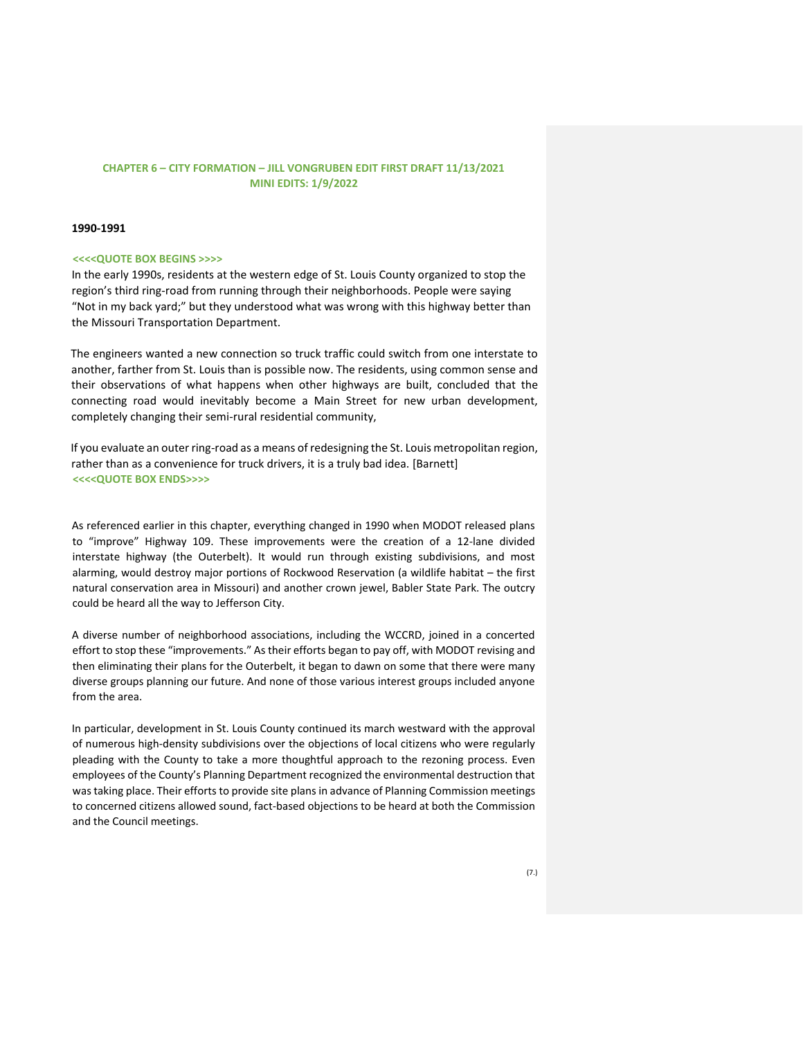#### **1990-1991**

#### **<<<<QUOTE BOX BEGINS >>>>**

In the early 1990s, residents at the western edge of St. Louis County organized to stop the region's third ring-road from running through their neighborhoods. People were saying "Not in my back yard;" but they understood what was wrong with this highway better than the Missouri Transportation Department.

The engineers wanted a new connection so truck traffic could switch from one interstate to another, farther from St. Louis than is possible now. The residents, using common sense and their observations of what happens when other highways are built, concluded that the connecting road would inevitably become a Main Street for new urban development, completely changing their semi-rural residential community,

If you evaluate an outer ring-road as a means of redesigning the St. Louis metropolitan region, rather than as a convenience for truck drivers, it is a truly bad idea. [Barnett] **<<<<QUOTE BOX ENDS>>>>** 

As referenced earlier in this chapter, everything changed in 1990 when MODOT released plans to "improve" Highway 109. These improvements were the creation of a 12-lane divided interstate highway (the Outerbelt). It would run through existing subdivisions, and most alarming, would destroy major portions of Rockwood Reservation (a wildlife habitat – the first natural conservation area in Missouri) and another crown jewel, Babler State Park. The outcry could be heard all the way to Jefferson City.

A diverse number of neighborhood associations, including the WCCRD, joined in a concerted effort to stop these "improvements." As their efforts began to pay off, with MODOT revising and then eliminating their plans for the Outerbelt, it began to dawn on some that there were many diverse groups planning our future. And none of those various interest groups included anyone from the area.

In particular, development in St. Louis County continued its march westward with the approval of numerous high-density subdivisions over the objections of local citizens who were regularly pleading with the County to take a more thoughtful approach to the rezoning process. Even employees of the County's Planning Department recognized the environmental destruction that was taking place. Their efforts to provide site plans in advance of Planning Commission meetings to concerned citizens allowed sound, fact-based objections to be heard at both the Commission and the Council meetings.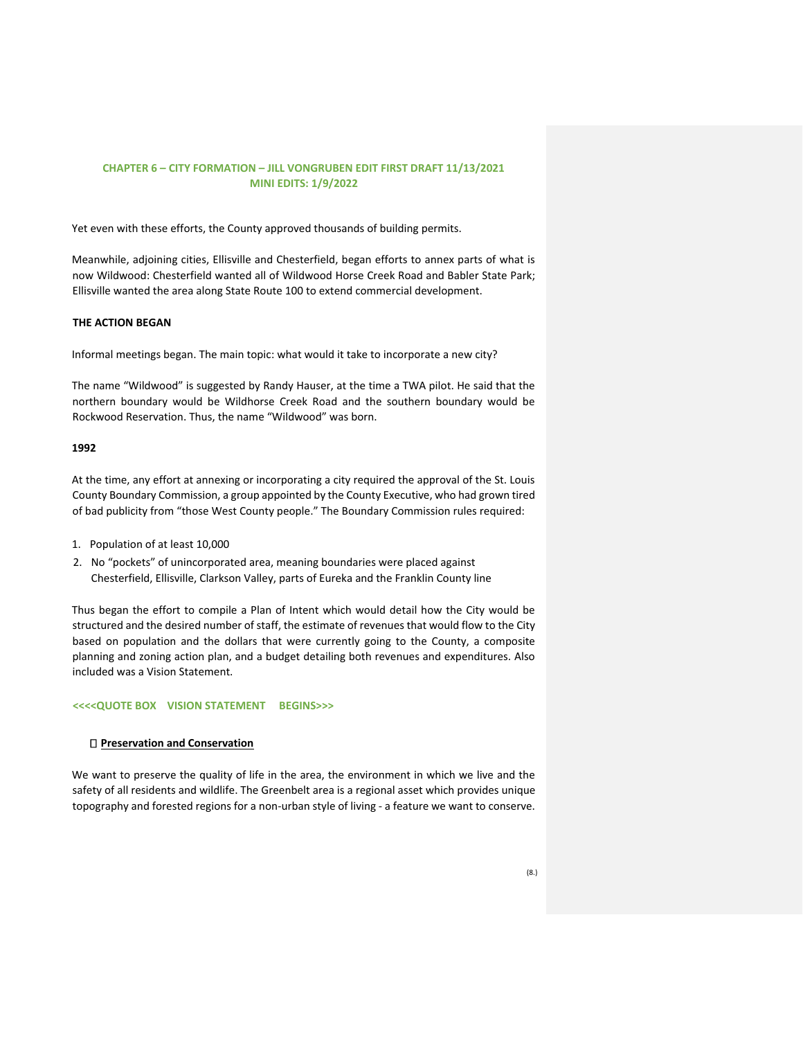Yet even with these efforts, the County approved thousands of building permits.

Meanwhile, adjoining cities, Ellisville and Chesterfield, began efforts to annex parts of what is now Wildwood: Chesterfield wanted all of Wildwood Horse Creek Road and Babler State Park; Ellisville wanted the area along State Route 100 to extend commercial development.

## **THE ACTION BEGAN**

Informal meetings began. The main topic: what would it take to incorporate a new city?

The name "Wildwood" is suggested by Randy Hauser, at the time a TWA pilot. He said that the northern boundary would be Wildhorse Creek Road and the southern boundary would be Rockwood Reservation. Thus, the name "Wildwood" was born.

## **1992**

At the time, any effort at annexing or incorporating a city required the approval of the St. Louis County Boundary Commission, a group appointed by the County Executive, who had grown tired of bad publicity from "those West County people." The Boundary Commission rules required:

- 1. Population of at least 10,000
- 2. No "pockets" of unincorporated area, meaning boundaries were placed against Chesterfield, Ellisville, Clarkson Valley, parts of Eureka and the Franklin County line

Thus began the effort to compile a Plan of Intent which would detail how the City would be structured and the desired number of staff, the estimate of revenues that would flow to the City based on population and the dollars that were currently going to the County, a composite planning and zoning action plan, and a budget detailing both revenues and expenditures. Also included was a Vision Statement.

### **<<<<QUOTE BOX VISION STATEMENT BEGINS>>>**

### **Preservation and Conservation**

We want to preserve the quality of life in the area, the environment in which we live and the safety of all residents and wildlife. The Greenbelt area is a regional asset which provides unique topography and forested regions for a non-urban style of living - a feature we want to conserve.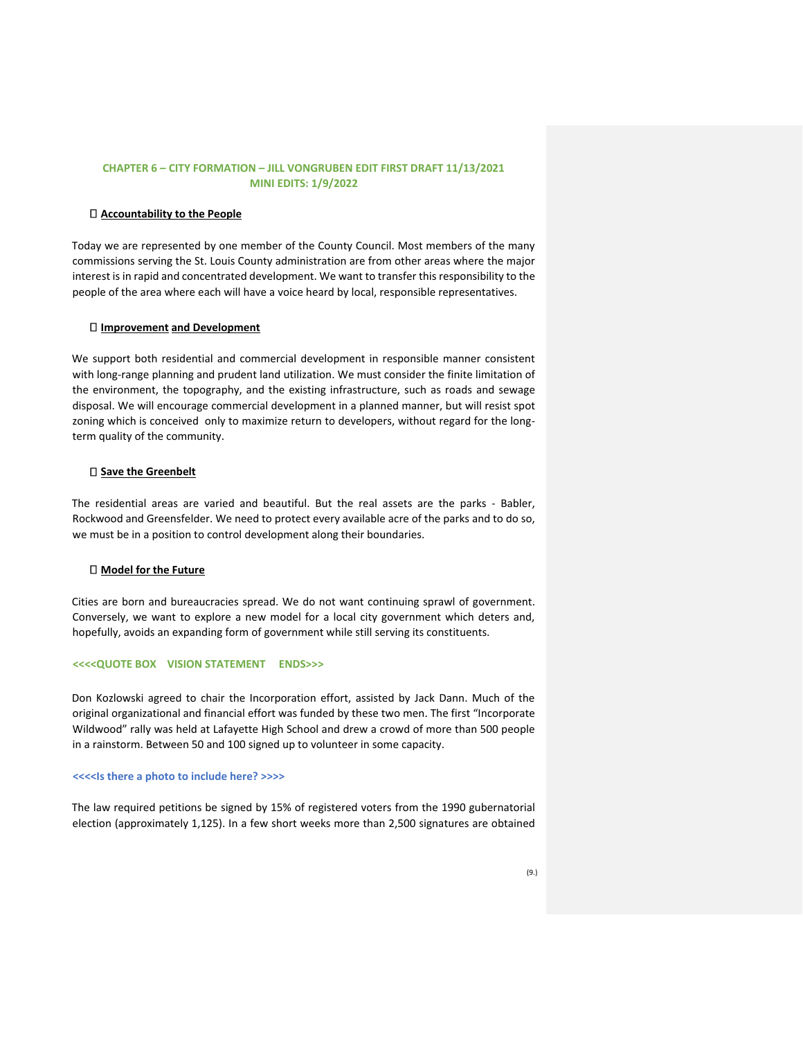#### **Accountability to the People**

Today we are represented by one member of the County Council. Most members of the many commissions serving the St. Louis County administration are from other areas where the major interest is in rapid and concentrated development. We want to transfer this responsibility to the people of the area where each will have a voice heard by local, responsible representatives.

#### **Improvement and Development**

We support both residential and commercial development in responsible manner consistent with long-range planning and prudent land utilization. We must consider the finite limitation of the environment, the topography, and the existing infrastructure, such as roads and sewage disposal. We will encourage commercial development in a planned manner, but will resist spot zoning which is conceived only to maximize return to developers, without regard for the longterm quality of the community.

#### **Save the Greenbelt**

The residential areas are varied and beautiful. But the real assets are the parks - Babler, Rockwood and Greensfelder. We need to protect every available acre of the parks and to do so, we must be in a position to control development along their boundaries.

### **Model for the Future**

Cities are born and bureaucracies spread. We do not want continuing sprawl of government. Conversely, we want to explore a new model for a local city government which deters and, hopefully, avoids an expanding form of government while still serving its constituents.

### **<<<<QUOTE BOX VISION STATEMENT ENDS>>>**

Don Kozlowski agreed to chair the Incorporation effort, assisted by Jack Dann. Much of the original organizational and financial effort was funded by these two men. The first "Incorporate Wildwood" rally was held at Lafayette High School and drew a crowd of more than 500 people in a rainstorm. Between 50 and 100 signed up to volunteer in some capacity.

#### **<<<<Is there a photo to include here? >>>>**

The law required petitions be signed by 15% of registered voters from the 1990 gubernatorial election (approximately 1,125). In a few short weeks more than 2,500 signatures are obtained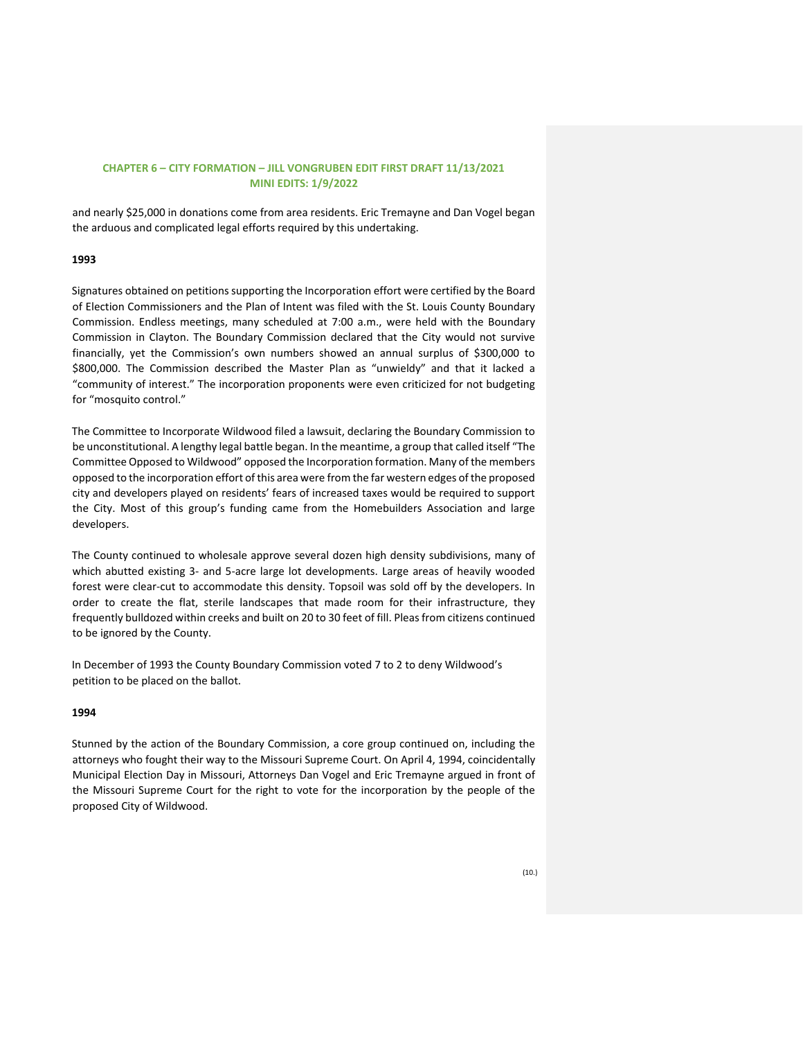and nearly \$25,000 in donations come from area residents. Eric Tremayne and Dan Vogel began the arduous and complicated legal efforts required by this undertaking.

## **1993**

Signatures obtained on petitions supporting the Incorporation effort were certified by the Board of Election Commissioners and the Plan of Intent was filed with the St. Louis County Boundary Commission. Endless meetings, many scheduled at 7:00 a.m., were held with the Boundary Commission in Clayton. The Boundary Commission declared that the City would not survive financially, yet the Commission's own numbers showed an annual surplus of \$300,000 to \$800,000. The Commission described the Master Plan as "unwieldy" and that it lacked a "community of interest." The incorporation proponents were even criticized for not budgeting for "mosquito control."

The Committee to Incorporate Wildwood filed a lawsuit, declaring the Boundary Commission to be unconstitutional. A lengthy legal battle began. In the meantime, a group that called itself "The Committee Opposed to Wildwood" opposed the Incorporation formation. Many of the members opposed to the incorporation effort of this area were from the far western edges of the proposed city and developers played on residents' fears of increased taxes would be required to support the City. Most of this group's funding came from the Homebuilders Association and large developers.

The County continued to wholesale approve several dozen high density subdivisions, many of which abutted existing 3- and 5-acre large lot developments. Large areas of heavily wooded forest were clear-cut to accommodate this density. Topsoil was sold off by the developers. In order to create the flat, sterile landscapes that made room for their infrastructure, they frequently bulldozed within creeks and built on 20 to 30 feet of fill. Pleas from citizens continued to be ignored by the County.

In December of 1993 the County Boundary Commission voted 7 to 2 to deny Wildwood's petition to be placed on the ballot.

## **1994**

Stunned by the action of the Boundary Commission, a core group continued on, including the attorneys who fought their way to the Missouri Supreme Court. On April 4, 1994, coincidentally Municipal Election Day in Missouri, Attorneys Dan Vogel and Eric Tremayne argued in front of the Missouri Supreme Court for the right to vote for the incorporation by the people of the proposed City of Wildwood.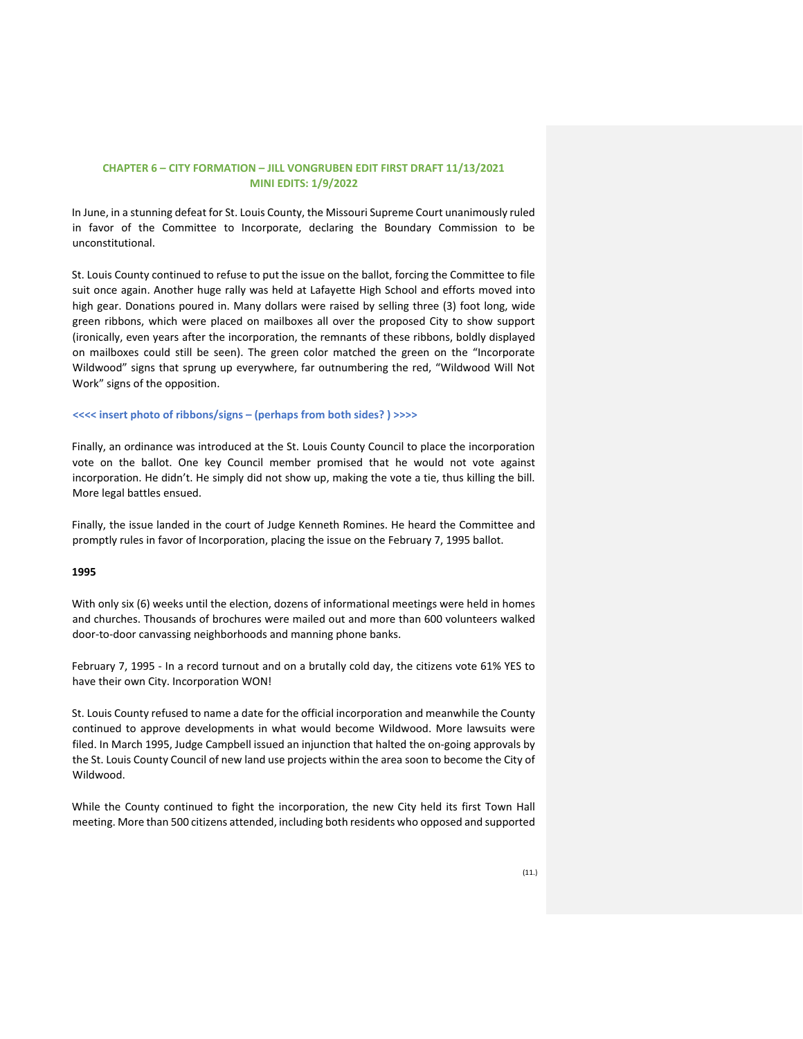In June, in a stunning defeat for St. Louis County, the Missouri Supreme Court unanimously ruled in favor of the Committee to Incorporate, declaring the Boundary Commission to be unconstitutional.

St. Louis County continued to refuse to put the issue on the ballot, forcing the Committee to file suit once again. Another huge rally was held at Lafayette High School and efforts moved into high gear. Donations poured in. Many dollars were raised by selling three (3) foot long, wide green ribbons, which were placed on mailboxes all over the proposed City to show support (ironically, even years after the incorporation, the remnants of these ribbons, boldly displayed on mailboxes could still be seen). The green color matched the green on the "Incorporate Wildwood" signs that sprung up everywhere, far outnumbering the red, "Wildwood Will Not Work" signs of the opposition.

#### **<<<< insert photo of ribbons/signs – (perhaps from both sides? ) >>>>**

Finally, an ordinance was introduced at the St. Louis County Council to place the incorporation vote on the ballot. One key Council member promised that he would not vote against incorporation. He didn't. He simply did not show up, making the vote a tie, thus killing the bill. More legal battles ensued.

Finally, the issue landed in the court of Judge Kenneth Romines. He heard the Committee and promptly rules in favor of Incorporation, placing the issue on the February 7, 1995 ballot.

#### **1995**

With only six (6) weeks until the election, dozens of informational meetings were held in homes and churches. Thousands of brochures were mailed out and more than 600 volunteers walked door-to-door canvassing neighborhoods and manning phone banks.

February 7, 1995 - In a record turnout and on a brutally cold day, the citizens vote 61% YES to have their own City. Incorporation WON!

St. Louis County refused to name a date for the official incorporation and meanwhile the County continued to approve developments in what would become Wildwood. More lawsuits were filed. In March 1995, Judge Campbell issued an injunction that halted the on-going approvals by the St. Louis County Council of new land use projects within the area soon to become the City of Wildwood.

While the County continued to fight the incorporation, the new City held its first Town Hall meeting. More than 500 citizens attended, including both residents who opposed and supported